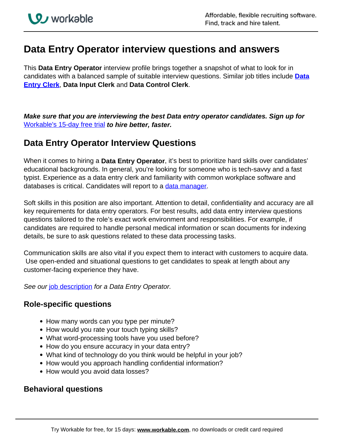## **Data Entry Operator interview questions and answers**

This **Data Entry Operator** interview profile brings together a snapshot of what to look for in candidates with a balanced sample of suitable interview questions. Similar job titles include **[Data](https://resources.workable.com/data-entry-clerk-job-description) [Entry Clerk](https://resources.workable.com/data-entry-clerk-job-description)**, **Data Input Clerk** and **Data Control Clerk**.

**Make sure that you are interviewing the best Data entry operator candidates. Sign up for**  Workable's 15-day free trial **to hire better, faster.**

## **Data Entry Operator Interview Questions**

When it comes to hiring a **Data Entry Operator**, it's best to prioritize hard skills over candidates' educational backgrounds. In general, you're looking for someone who is tech-savvy and a fast typist. Experience as a data entry clerk and familiarity with common workplace software and databases is critical. Candidates will report to a data manager.

Soft skills in this position are also important. Attention to detail, confidentiality and accuracy are all key requirements for data entry operators. For best results, add data entry interview questions questions tailored to the role's exact work environment and responsibilities. For example, if candidates are required to handle personal medical information or scan documents for indexing details, be sure to ask questions related to these data processing tasks.

Communication skills are also vital if you expect them to interact with customers to acquire data. Use open-ended and situational questions to get candidates to speak at length about any customer-facing experience they have.

See our job description for a Data Entry Operator.

## **Role-specific questions**

- How many words can you type per minute?
- How would you rate your touch typing skills?
- What word-processing tools have you used before?
- How do you ensure accuracy in your data entry?
- What kind of technology do you think would be helpful in your job?
- How would you approach handling confidential information?
- How would you avoid data losses?

## **Behavioral questions**